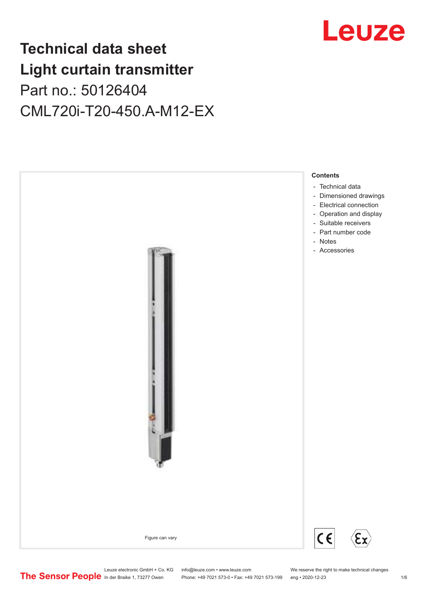## Leuze

## **Technical data sheet Light curtain transmitter** Part no.: 50126404 CML720i-T20-450.A-M12-EX



Leuze electronic GmbH + Co. KG info@leuze.com • www.leuze.com We reserve the right to make technical changes<br>
The Sensor People in der Braike 1, 73277 Owen Phone: +49 7021 573-0 • Fax: +49 7021 573-199 eng • 2020-12-23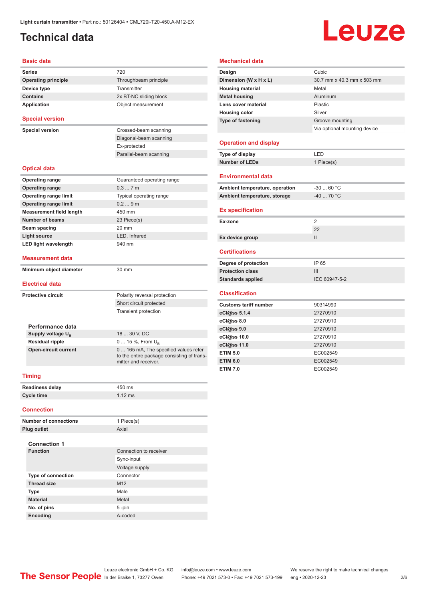### <span id="page-1-0"></span>**Technical data**

# Leuze

#### **Basic data**

| Series                                                                            | 720                                                                                        |  |  |
|-----------------------------------------------------------------------------------|--------------------------------------------------------------------------------------------|--|--|
| <b>Operating principle</b>                                                        | Throughbeam principle                                                                      |  |  |
| Device type                                                                       | Transmitter                                                                                |  |  |
| <b>Contains</b>                                                                   | 2x BT-NC sliding block                                                                     |  |  |
| Application                                                                       | Object measurement                                                                         |  |  |
| <b>Special version</b>                                                            |                                                                                            |  |  |
| <b>Special version</b>                                                            | Crossed-beam scanning                                                                      |  |  |
|                                                                                   | Diagonal-beam scanning                                                                     |  |  |
|                                                                                   | Ex-protected                                                                               |  |  |
|                                                                                   | Parallel-beam scanning                                                                     |  |  |
| <b>Optical data</b>                                                               |                                                                                            |  |  |
| <b>Operating range</b>                                                            | Guaranteed operating range                                                                 |  |  |
| <b>Operating range</b>                                                            | 0.37m                                                                                      |  |  |
| <b>Operating range limit</b>                                                      | Typical operating range                                                                    |  |  |
| <b>Operating range limit</b>                                                      | 0.29m                                                                                      |  |  |
| <b>Measurement field length</b>                                                   | 450 mm                                                                                     |  |  |
| <b>Number of beams</b>                                                            | 23 Piece(s)                                                                                |  |  |
| Beam spacing                                                                      | 20 mm                                                                                      |  |  |
| <b>Light source</b>                                                               | LED, Infrared                                                                              |  |  |
| <b>LED light wavelength</b>                                                       | 940 nm                                                                                     |  |  |
| Measurement data                                                                  |                                                                                            |  |  |
| Minimum object diameter                                                           | 30 mm                                                                                      |  |  |
|                                                                                   |                                                                                            |  |  |
| Electrical data                                                                   |                                                                                            |  |  |
|                                                                                   |                                                                                            |  |  |
|                                                                                   | Polarity reversal protection                                                               |  |  |
|                                                                                   | Short circuit protected                                                                    |  |  |
|                                                                                   | <b>Transient protection</b>                                                                |  |  |
|                                                                                   |                                                                                            |  |  |
| Performance data                                                                  | 18  30 V, DC                                                                               |  |  |
| <b>Protective circuit</b><br>Supply voltage $U_{\rm B}$<br><b>Residual ripple</b> |                                                                                            |  |  |
| <b>Open-circuit current</b>                                                       | 0  15 %, From $U_{\rm B}$<br>0  165 mA, The specified values refer<br>mitter and receiver. |  |  |
| <b>Timing</b>                                                                     |                                                                                            |  |  |
|                                                                                   | 450 ms                                                                                     |  |  |
| Readiness delay<br><b>Cycle time</b>                                              | to the entire package consisting of trans-<br>$1.12$ ms                                    |  |  |
| <b>Connection</b>                                                                 |                                                                                            |  |  |
|                                                                                   |                                                                                            |  |  |
| <b>Number of connections</b>                                                      | 1 Piece(s)                                                                                 |  |  |
| Plug outlet                                                                       | Axial                                                                                      |  |  |

| <b>Connection 1</b>       |                        |  |  |  |
|---------------------------|------------------------|--|--|--|
| <b>Function</b>           | Connection to receiver |  |  |  |
|                           | Sync-input             |  |  |  |
|                           | Voltage supply         |  |  |  |
| <b>Type of connection</b> | Connector              |  |  |  |
| <b>Thread size</b>        | M <sub>12</sub>        |  |  |  |
| <b>Type</b>               | Male                   |  |  |  |
| <b>Material</b>           | Metal                  |  |  |  |
| No. of pins               | $5 - pin$              |  |  |  |
| <b>Encoding</b>           | A-coded                |  |  |  |

#### **Mechanical data**

| Design                         | Cubic                        |
|--------------------------------|------------------------------|
| Dimension (W x H x L)          | 30.7 mm x 40.3 mm x 503 mm   |
| <b>Housing material</b>        | Metal                        |
| <b>Metal housing</b>           | Aluminum                     |
| Lens cover material            | Plastic                      |
| <b>Housing color</b>           | Silver                       |
| <b>Type of fastening</b>       | Groove mounting              |
|                                | Via optional mounting device |
|                                |                              |
| <b>Operation and display</b>   |                              |
| Type of display                | LED                          |
| <b>Number of LEDs</b>          | 1 Piece(s)                   |
|                                |                              |
| <b>Environmental data</b>      |                              |
| Ambient temperature, operation | $-3060 °C$                   |
| Ambient temperature, storage   | $-40$ 70 °C                  |
|                                |                              |
| <b>Ex specification</b>        |                              |
|                                |                              |
| Ex-zone                        | 2                            |
|                                | 22                           |
| Ex device group                | Ш                            |
|                                |                              |
| <b>Certifications</b>          |                              |
| Degree of protection           | IP 65                        |
| <b>Protection class</b>        | Ш                            |
| <b>Standards applied</b>       | IEC 60947-5-2                |
|                                |                              |
| <b>Classification</b>          |                              |
| <b>Customs tariff number</b>   | 90314990                     |
| eCl@ss 5.1.4                   | 27270910                     |
| eCl@ss 8.0                     | 27270910                     |
| eCl@ss 9.0                     | 27270910                     |
| eCl@ss 10.0                    | 27270910                     |
| eCl@ss 11.0                    | 27270910                     |
| <b>ETIM 5.0</b>                | EC002549                     |
| <b>ETIM 6.0</b>                | EC002549                     |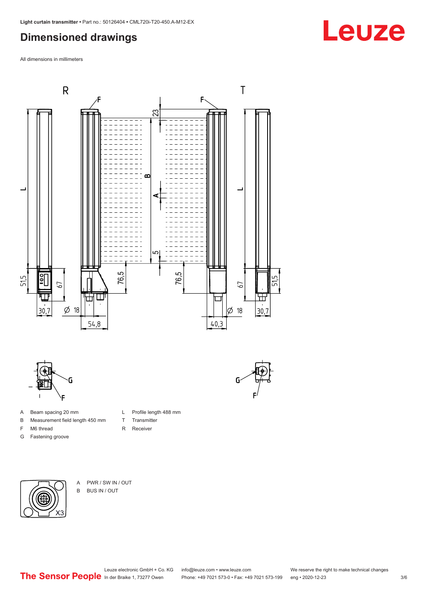### <span id="page-2-0"></span>**Dimensioned drawings**

All dimensions in millimeters





- A Beam spacing 20 mm
- B Measurement field length 450 mm
- F M6 thread
- G Fastening groove
- T Transmitter R Receiver

L Profile length 488 mm



A PWR / SW IN / OUT B BUS IN / OUT

## Leuze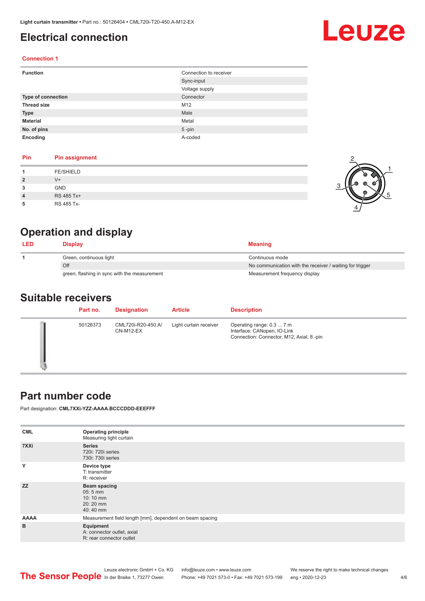### <span id="page-3-0"></span>**Electrical connection**

# Leuze

#### **Connection 1**

| <b>Function</b>           | Connection to receiver |
|---------------------------|------------------------|
|                           | Sync-input             |
|                           | Voltage supply         |
| <b>Type of connection</b> | Connector              |
| <b>Thread size</b>        | M12                    |
| <b>Type</b>               | Male                   |
| <b>Material</b>           | Metal                  |
| No. of pins               | $5$ -pin               |
| Encoding                  | A-coded                |

#### **Pin Pin assignment**

|                | <b>FE/SHIELD</b> |  |
|----------------|------------------|--|
| $\overline{2}$ | $V +$            |  |
| 3              | <b>GND</b>       |  |
| $\overline{4}$ | RS 485 Tx+       |  |
|                | RS 485 Tx-       |  |

### **Operation and display**

| <b>LED</b> | Display                                      | <b>Meaning</b>                                           |
|------------|----------------------------------------------|----------------------------------------------------------|
|            | Green, continuous light                      | Continuous mode                                          |
|            | Off                                          | No communication with the receiver / waiting for trigger |
|            | green, flashing in sync with the measurement | Measurement frequency display                            |

#### **Suitable receivers**

| Part no. | <b>Designation</b>              | <b>Article</b>         | <b>Description</b>                                                                                   |
|----------|---------------------------------|------------------------|------------------------------------------------------------------------------------------------------|
| 50126373 | CML720i-R20-450.A/<br>CN-M12-EX | Light curtain receiver | Operating range: 0.3  7 m<br>Interface: CANopen, IO-Link<br>Connection: Connector, M12, Axial, 8-pin |

#### **Part number code**

Part designation: **CML7XXi-YZZ-AAAA.BCCCDDD-EEEFFF**

| <b>CML</b><br>7XXi | <b>Operating principle</b><br>Measuring light curtain<br><b>Series</b><br>720i: 720i series |
|--------------------|---------------------------------------------------------------------------------------------|
|                    | 730i: 730i series                                                                           |
| Y                  | Device type<br>T: transmitter<br>R: receiver                                                |
| <b>ZZ</b>          | <b>Beam spacing</b><br>$05:5$ mm<br>10:10 mm<br>$20:20$ mm<br>40:40 mm                      |
| <b>AAAA</b>        | Measurement field length [mm], dependent on beam spacing                                    |
| B                  | Equipment<br>A: connector outlet, axial<br>R: rear connector outlet                         |

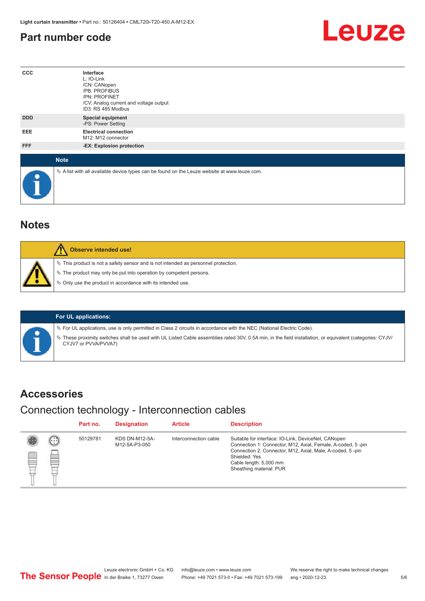#### <span id="page-4-0"></span>**Part number code**



| $_{\rm ccc}$ | Interface<br>L: IO-Link<br>/CN: CANopen<br>/PB: PROFIBUS<br>/PN: PROFINET<br>/CV: Analog current and voltage output<br>/D3: RS 485 Modbus |
|--------------|-------------------------------------------------------------------------------------------------------------------------------------------|
| <b>DDD</b>   | <b>Special equipment</b><br>-PS: Power Setting                                                                                            |
| EEE          | <b>Electrical connection</b><br>M12: M12 connector                                                                                        |
| FFF          | -EX: Explosion protection                                                                                                                 |
| <b>Note</b>  |                                                                                                                                           |
| $\bullet$    | $\&$ A list with all available device types can be found on the Leuze website at www.leuze.com.                                           |

#### **Notes**

| Observe intended use!                                                                                                                                                                                                      |
|----------------------------------------------------------------------------------------------------------------------------------------------------------------------------------------------------------------------------|
| $\%$ This product is not a safety sensor and is not intended as personnel protection.<br>§ The product may only be put into operation by competent persons.<br>§ Only use the product in accordance with its intended use. |

#### **For UL applications:**

ª For UL applications, use is only permitted in Class 2 circuits in accordance with the NEC (National Electric Code).

ª These proximity switches shall be used with UL Listed Cable assemblies rated 30V, 0.5A min, in the field installation, or equivalent (categories: CYJV/ CYJV7 or PVVA/PVVA7)

#### **Accessories**

#### Connection technology - Interconnection cables

|   |                        | Part no. | <b>Designation</b>              | <b>Article</b>        | <b>Description</b>                                                                                                                                                                                                                                    |
|---|------------------------|----------|---------------------------------|-----------------------|-------------------------------------------------------------------------------------------------------------------------------------------------------------------------------------------------------------------------------------------------------|
| ₿ | (.<br><b>From</b><br>œ | 50129781 | KDS DN-M12-5A-<br>M12-5A-P3-050 | Interconnection cable | Suitable for interface: IO-Link, DeviceNet, CANopen<br>Connection 1: Connector, M12, Axial, Female, A-coded, 5-pin<br>Connection 2: Connector, M12, Axial, Male, A-coded, 5-pin<br>Shielded: Yes<br>Cable length: 5,000 mm<br>Sheathing material: PUR |